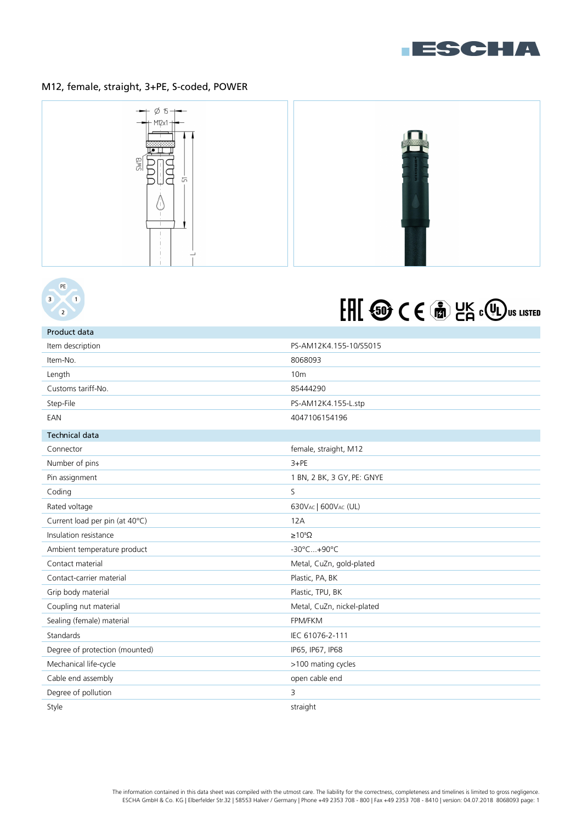

## M12, female, straight, 3+PE, S-coded, POWER





# FHI <sup>6</sup> CE m HK COU US LISTED

| Product data                   |                            |
|--------------------------------|----------------------------|
| Item description               | PS-AM12K4.155-10/S5015     |
| Item-No.                       | 8068093                    |
| Length                         | 10 <sub>m</sub>            |
| Customs tariff-No.             | 85444290                   |
| Step-File                      | PS-AM12K4.155-L.stp        |
| EAN                            | 4047106154196              |
| <b>Technical data</b>          |                            |
| Connector                      | female, straight, M12      |
| Number of pins                 | $3+PE$                     |
| Pin assignment                 | 1 BN, 2 BK, 3 GY, PE: GNYE |
| Coding                         | S                          |
| Rated voltage                  | 630VAC   600VAC (UL)       |
| Current load per pin (at 40°C) | 12A                        |
| Insulation resistance          | $\geq 10^8 \Omega$         |
| Ambient temperature product    | -30°C+90°C                 |
| Contact material               | Metal, CuZn, gold-plated   |
| Contact-carrier material       | Plastic, PA, BK            |
| Grip body material             | Plastic, TPU, BK           |
| Coupling nut material          | Metal, CuZn, nickel-plated |
| Sealing (female) material      | FPM/FKM                    |
| Standards                      | IEC 61076-2-111            |
| Degree of protection (mounted) | IP65, IP67, IP68           |
| Mechanical life-cycle          | >100 mating cycles         |
| Cable end assembly             | open cable end             |
| Degree of pollution            | 3                          |
| Style                          | straight                   |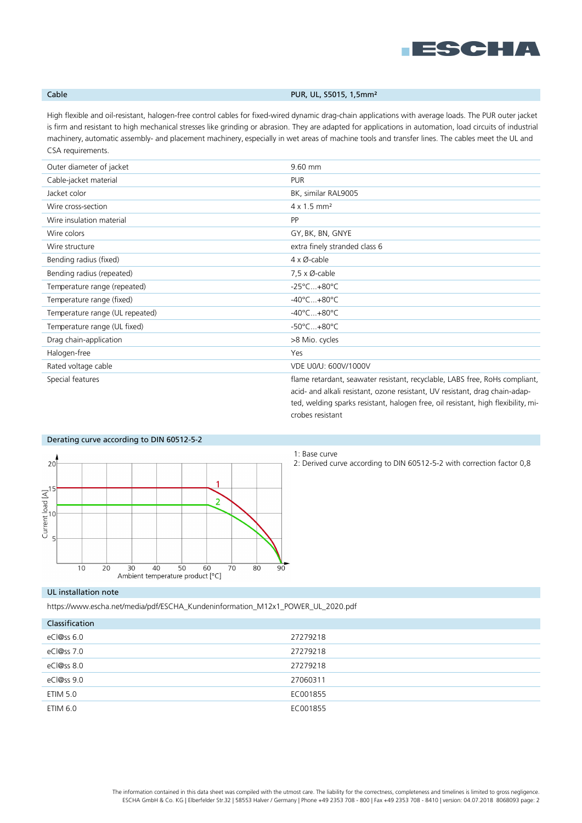

## Cable **Cable Cable PUR, UL, S5015, 1,5mm**<sup>2</sup>

High flexible and oil-resistant, halogen-free control cables for fixed-wired dynamic drag-chain applications with average loads. The PUR outer jacket is firm and resistant to high mechanical stresses like grinding or abrasion. They are adapted for applications in automation, load circuits of industrial machinery, automatic assembly- and placement machinery, especially in wet areas of machine tools and transfer lines. The cables meet the UL and CSA requirements.

| Outer diameter of jacket        | 9.60 mm                                                                                                                                                                                                                                         |
|---------------------------------|-------------------------------------------------------------------------------------------------------------------------------------------------------------------------------------------------------------------------------------------------|
| Cable-jacket material           | <b>PUR</b>                                                                                                                                                                                                                                      |
| Jacket color                    | BK, similar RAL9005                                                                                                                                                                                                                             |
| Wire cross-section              | $4 \times 1.5$ mm <sup>2</sup>                                                                                                                                                                                                                  |
| Wire insulation material        | <b>PP</b>                                                                                                                                                                                                                                       |
| Wire colors                     | GY, BK, BN, GNYE                                                                                                                                                                                                                                |
| Wire structure                  | extra finely stranded class 6                                                                                                                                                                                                                   |
| Bending radius (fixed)          | $4 \times \emptyset$ -cable                                                                                                                                                                                                                     |
| Bending radius (repeated)       | $7.5 \times \emptyset$ -cable                                                                                                                                                                                                                   |
| Temperature range (repeated)    | $-25^{\circ}$ C $+80^{\circ}$ C                                                                                                                                                                                                                 |
| Temperature range (fixed)       | $-40^{\circ}$ C $+80^{\circ}$ C                                                                                                                                                                                                                 |
| Temperature range (UL repeated) | $-40^{\circ}$ C $+80^{\circ}$ C                                                                                                                                                                                                                 |
| Temperature range (UL fixed)    | $-50^{\circ}$ C $+80^{\circ}$ C                                                                                                                                                                                                                 |
| Drag chain-application          | >8 Mio. cycles                                                                                                                                                                                                                                  |
| Halogen-free                    | Yes                                                                                                                                                                                                                                             |
| Rated voltage cable             | VDE U0/U: 600V/1000V                                                                                                                                                                                                                            |
| Special features                | flame retardant, seawater resistant, recyclable, LABS free, RoHs compliant,<br>acid- and alkali resistant, ozone resistant, UV resistant, drag chain-adap-<br>ted, welding sparks resistant, halogen free, oil resistant, high flexibility, mi- |



1: Base curve

crobes resistant

2: Derived curve according to DIN 60512-5-2 with correction factor 0,8

### UL installation note

https://www.escha.net/media/pdf/ESCHA\_Kundeninformation\_M12x1\_POWER\_UL\_2020.pdf

| Classification |          |
|----------------|----------|
| eCl@ss 6.0     | 27279218 |
| eCl@ss 7.0     | 27279218 |
| eCl@ss 8.0     | 27279218 |
| eCl@ss 9.0     | 27060311 |
| ETIM 5.0       | EC001855 |
| ETIM 6.0       | EC001855 |